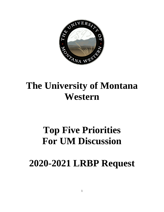

# **The University of Montana Western**

# **Top Five Priorities For UM Discussion**

# **2020-2021 LRBP Request**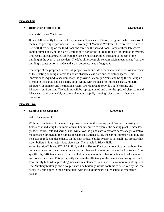## **Priority One**

# • **Renovation of Block Hall \$12,000,000**

### (Life Safety/Deferred Maintenance)

Block Hall presently houses the Environmental Science and Biology programs, which are two of the fastest growing departments at The University of Montana Western. There are six wet labs in use, with three being on the third floor and three on the second floor. Some of these lab spaces contain fume hoods, but the lab's ventilation is part of the entire building's air circulation system. This results in contaminated air from the labs being redistributed throughout the rest of the building in the event of an accident. The labs almost entirely contain original equipment from the building's construction in 1969 and are in desperate need of upgrades.

The scope of the proposed Block Hall project would include a renovation and asbestos abatement of the existing building in order to update obsolete classroom and laboratory spaces. This renovation is required to accommodate the growing Science programs and bring the building up to modern life safety and air quality code. Along with the need for increased space, modern laboratory equipment and ventilation systems are required to provide a safe learning and laboratory environment. The building will be reprogrammed and offer the updated classroom and lab spaces required to safely accommodate these rapidly growing science and mathematics programs.

## **Priority Two**

# • **Campus Heat Upgrade \$2,000,000**

### (Deferred Maintenance)

With the installation of the new low pressure boiler in the heating plant, Western is taking the first steps in reducing the number of man hours required to operate the heating plant. A new low pressure boiler, installed spring 2018, will allow the plant staff to perform necessary preventative maintenance throughout the campus mechanical systems during the spring, summer, and fall. The next step in reducing dependence on the high pressure boiler system is to install low pressure hot water boilers in four major State side areas. These include Block Hall, Administration/Library/STC, Main Hall, and Roe House. Each of the four sites currently utilizes

hot water generated by a steam to water heat exchanger in the respective mechanical rooms. Site specific high efficiency water boilers will eliminate hundreds of feet of aging and leaky steam and condensate lines. This will greatly increase the efficiency of the campus heating system and lower utility bills while providing increased maintenance hours as well as a more reliable system. The Auxiliary buildings and a couple state side buildings would continue to be served by the low pressure steam boiler in the heating plant with the high pressure boiler acting as emergency backup.